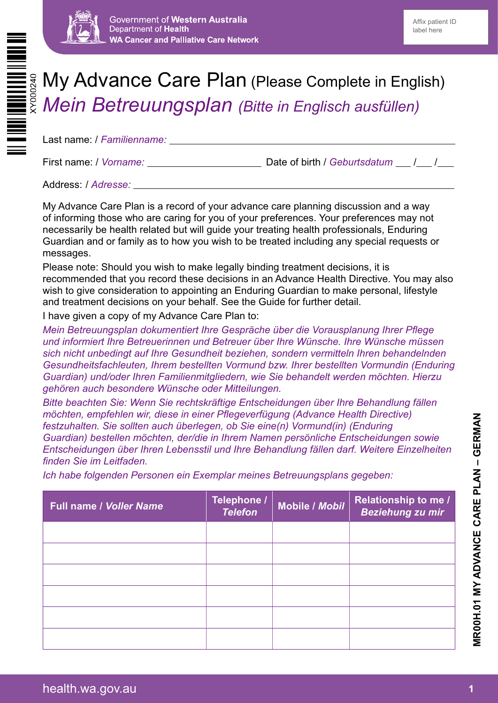



# My Advance Care Plan (Please Complete in English) *Mein Betreuungsplan (Bitte in Englisch ausfüllen)*

Last name: / *Familienname:*

First name: / *Vorname:* Date of birth / *Geburtsdatum* / /

Address: / *Adresse:*

My Advance Care Plan is a record of your advance care planning discussion and a way of informing those who are caring for you of your preferences. Your preferences may not necessarily be health related but will guide your treating health professionals, Enduring Guardian and or family as to how you wish to be treated including any special requests or messages.

Please note: Should you wish to make legally binding treatment decisions, it is recommended that you record these decisions in an Advance Health Directive. You may also wish to give consideration to appointing an Enduring Guardian to make personal, lifestyle and treatment decisions on your behalf. See the Guide for further detail.

I have given a copy of my Advance Care Plan to:

*Mein Betreuungsplan dokumentiert Ihre Gespräche über die Vorausplanung Ihrer Pflege und informiert Ihre Betreuerinnen und Betreuer über Ihre Wünsche. Ihre Wünsche müssen sich nicht unbedingt auf Ihre Gesundheit beziehen, sondern vermitteln Ihren behandelnden Gesundheitsfachleuten, Ihrem bestellten Vormund bzw. Ihrer bestellten Vormundin (Enduring Guardian) und/oder Ihren Familienmitgliedern, wie Sie behandelt werden möchten. Hierzu gehören auch besondere Wünsche oder Mitteilungen.*

*Bitte beachten Sie: Wenn Sie rechtskräftige Entscheidungen über Ihre Behandlung fällen möchten, empfehlen wir, diese in einer Pflegeverfügung (Advance Health Directive) festzuhalten. Sie sollten auch überlegen, ob Sie eine(n) Vormund(in) (Enduring Guardian) bestellen möchten, der/die in Ihrem Namen persönliche Entscheidungen sowie Entscheidungen über Ihren Lebensstil und Ihre Behandlung fällen darf. Weitere Einzelheiten finden Sie im Leitfaden.*

*Ich habe folgenden Personen ein Exemplar meines Betreuungsplans gegeben:*

| <b>Full name / Voller Name</b> | Telephone /<br><b>Telefon</b> | Mobile / Mobil | <b>Relationship to me /</b><br>Beziehung zu mir |
|--------------------------------|-------------------------------|----------------|-------------------------------------------------|
|                                |                               |                |                                                 |
|                                |                               |                |                                                 |
|                                |                               |                |                                                 |
|                                |                               |                |                                                 |
|                                |                               |                |                                                 |
|                                |                               |                |                                                 |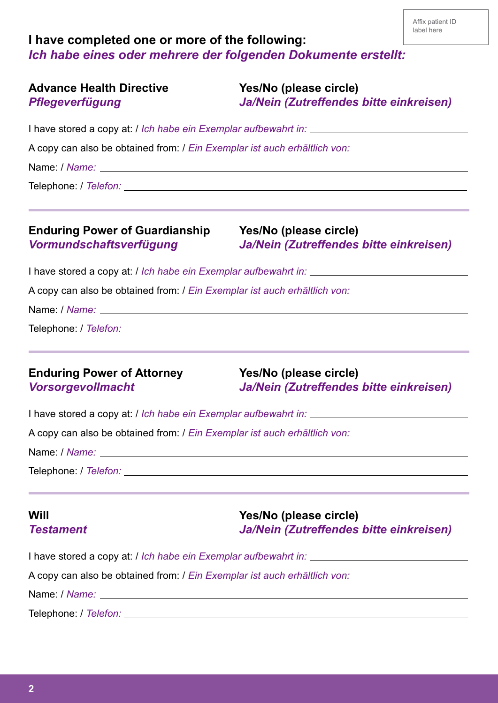# **I have completed one or more of the following:** *Ich habe eines oder mehrere der folgenden Dokumente erstellt:*

| <b>Advance Health Directive</b><br><b>Pflegeverfügung</b>                 | Yes/No (please circle)<br>Ja/Nein (Zutreffendes bitte einkreisen) |  |  |  |                                                                         |                                                                                                                                                       |
|---------------------------------------------------------------------------|-------------------------------------------------------------------|--|--|--|-------------------------------------------------------------------------|-------------------------------------------------------------------------------------------------------------------------------------------------------|
| A copy can also be obtained from: / Ein Exemplar ist auch erhältlich von: |                                                                   |  |  |  |                                                                         |                                                                                                                                                       |
|                                                                           |                                                                   |  |  |  |                                                                         |                                                                                                                                                       |
|                                                                           |                                                                   |  |  |  | <b>Enduring Power of Guardianship</b><br><b>Vormundschaftsverfügung</b> | ,我们也不能会在这里,我们的人们就会在这里,我们的人们就会在这里,我们的人们就会在这里,我们的人们就会在这里,我们的人们就会在这里,我们的人们就会在这里,我们的<br>Yes/No (please circle)<br>Ja/Nein (Zutreffendes bitte einkreisen) |
|                                                                           |                                                                   |  |  |  |                                                                         |                                                                                                                                                       |
| A copy can also be obtained from: / Ein Exemplar ist auch erhältlich von: |                                                                   |  |  |  |                                                                         |                                                                                                                                                       |
|                                                                           |                                                                   |  |  |  |                                                                         |                                                                                                                                                       |
|                                                                           |                                                                   |  |  |  |                                                                         |                                                                                                                                                       |
| <b>Enduring Power of Attorney</b><br><b>Vorsorgevollmacht</b>             | Yes/No (please circle)<br>Ja/Nein (Zutreffendes bitte einkreisen) |  |  |  |                                                                         |                                                                                                                                                       |
|                                                                           |                                                                   |  |  |  |                                                                         |                                                                                                                                                       |
| A copy can also be obtained from: / Ein Exemplar ist auch erhältlich von: |                                                                   |  |  |  |                                                                         |                                                                                                                                                       |
|                                                                           |                                                                   |  |  |  |                                                                         |                                                                                                                                                       |
|                                                                           |                                                                   |  |  |  |                                                                         |                                                                                                                                                       |
| Will<br><b>Testament</b>                                                  | Yes/No (please circle)<br>Ja/Nein (Zutreffendes bitte einkreisen) |  |  |  |                                                                         |                                                                                                                                                       |
|                                                                           |                                                                   |  |  |  |                                                                         |                                                                                                                                                       |
| A copy can also be obtained from: / Ein Exemplar ist auch erhältlich von: |                                                                   |  |  |  |                                                                         |                                                                                                                                                       |
|                                                                           |                                                                   |  |  |  |                                                                         |                                                                                                                                                       |
|                                                                           |                                                                   |  |  |  |                                                                         |                                                                                                                                                       |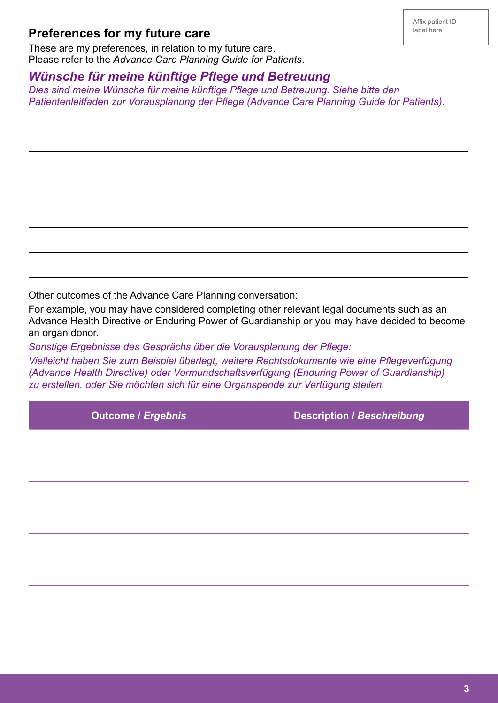### **Preferences for my future care**

 $\overline{a}$ 

 $\overline{a}$ 

L

L

 $\overline{a}$ 

 $\overline{a}$ 

These are my preferences, in relation to my future care. Please refer to the *Advance Care Planning Guide for Patients*.

#### *Wünsche für meine künftige Pflege und Betreuung*

*Dies sind meine Wünsche für meine künftige Pflege und Betreuung. Siehe bitte den Patientenleitfaden zur Vorausplanung der Pflege (Advance Care Planning Guide for Patients).*

Other outcomes of the Advance Care Planning conversation:

For example, you may have considered completing other relevant legal documents such as an Advance Health Directive or Enduring Power of Guardianship or you may have decided to become an organ donor.

*Sonstige Ergebnisse des Gesprächs über die Vorausplanung der Pflege:*

*Vielleicht haben Sie zum Beispiel überlegt, weitere Rechtsdokumente wie eine Pflegeverfügung (Advance Health Directive) oder Vormundschaftsverfügung (Enduring Power of Guardianship) zu erstellen, oder Sie möchten sich für eine Organspende zur Verfügung stellen.*

| <b>Outcome / Ergebnis</b> | <b>Description / Beschreibung</b> |  |
|---------------------------|-----------------------------------|--|
|                           |                                   |  |
|                           |                                   |  |
|                           |                                   |  |
|                           |                                   |  |
|                           |                                   |  |
|                           |                                   |  |
|                           |                                   |  |
|                           |                                   |  |